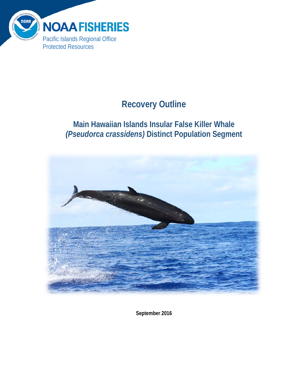

# **Recovery Outline**

# **Main Hawaiian Islands Insular False Killer Whale** *(Pseudorca crassidens)* **Distinct Population Segment**



**September 2016**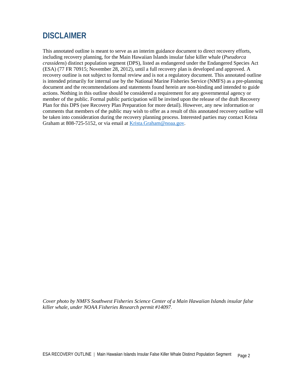# <span id="page-1-0"></span>**DISCLAIMER**

This annotated outline is meant to serve as an interim guidance document to direct recovery efforts, including recovery planning, for the Main Hawaiian Islands insular false killer whale (*Pseudorca crassidens*) distinct population segment (DPS), listed as endangered under the Endangered Species Act (ESA) (77 FR 70915; November 28, 2012), until a full recovery plan is developed and approved. A recovery outline is not subject to formal review and is not a regulatory document. This annotated outline is intended primarily for internal use by the National Marine Fisheries Service (NMFS) as a pre-planning document and the recommendations and statements found herein are non-binding and intended to guide actions. Nothing in this outline should be considered a requirement for any governmental agency or member of the public. Formal public participation will be invited upon the release of the draft Recovery Plan for this DPS (see Recovery Plan Preparation for more detail). However, any new information or comments that members of the public may wish to offer as a result of this annotated recovery outline will be taken into consideration during the recovery planning process. Interested parties may contact Krista Graham at 808-725-5152, or via email at [Krista.Graham@noaa.gov.](mailto:Krista.Graham@noaa.gov)

*Cover photo by NMFS Southwest Fisheries Science Center of a Main Hawaiian Islands insular false killer whale, under NOAA Fisheries Research permit #14097*.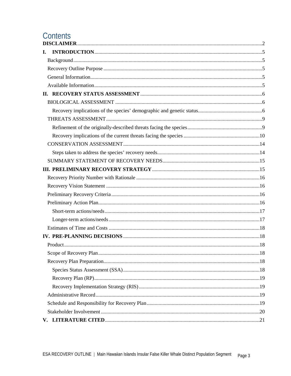# Contents

| L. |  |
|----|--|
|    |  |
|    |  |
|    |  |
|    |  |
|    |  |
|    |  |
|    |  |
|    |  |
|    |  |
|    |  |
|    |  |
|    |  |
|    |  |
|    |  |
|    |  |
|    |  |
|    |  |
|    |  |
|    |  |
|    |  |
|    |  |
|    |  |
|    |  |
|    |  |
|    |  |
|    |  |
|    |  |
|    |  |
|    |  |
|    |  |
|    |  |
|    |  |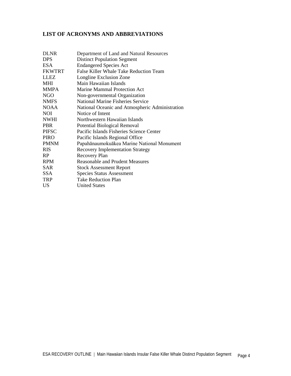#### **LIST OF ACRONYMS AND ABBREVIATIONS**

| <b>DLNR</b>   | Department of Land and Natural Resources        |
|---------------|-------------------------------------------------|
| <b>DPS</b>    | <b>Distinct Population Segment</b>              |
| <b>ESA</b>    | <b>Endangered Species Act</b>                   |
| <b>FKWTRT</b> | False Killer Whale Take Reduction Team          |
| <b>LLEZ</b>   | Longline Exclusion Zone                         |
| <b>MHI</b>    | Main Hawaiian Islands                           |
| <b>MMPA</b>   | <b>Marine Mammal Protection Act</b>             |
| <b>NGO</b>    | Non-governmental Organization                   |
| <b>NMFS</b>   | <b>National Marine Fisheries Service</b>        |
| <b>NOAA</b>   | National Oceanic and Atmospheric Administration |
| <b>NOI</b>    | Notice of Intent                                |
| <b>NWHI</b>   | Northwestern Hawaiian Islands                   |
| <b>PBR</b>    | Potential Biological Removal                    |
| <b>PIFSC</b>  | Pacific Islands Fisheries Science Center        |
| <b>PIRO</b>   | Pacific Islands Regional Office                 |
| <b>PMNM</b>   | Papahānaumokuākea Marine National Monument      |
| <b>RIS</b>    | <b>Recovery Implementation Strategy</b>         |
| <b>RP</b>     | <b>Recovery Plan</b>                            |
| <b>RPM</b>    | <b>Reasonable and Prudent Measures</b>          |
| SAR.          | <b>Stock Assessment Report</b>                  |
| SSA           | <b>Species Status Assessment</b>                |
| <b>TRP</b>    | <b>Take Reduction Plan</b>                      |
| US            | <b>United States</b>                            |
|               |                                                 |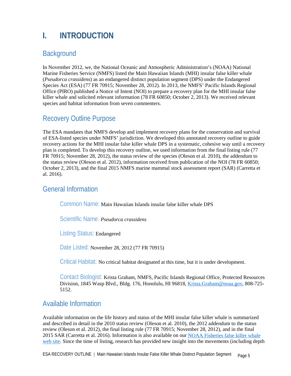# <span id="page-4-0"></span>**I. INTRODUCTION**

# <span id="page-4-1"></span>**Background**

In November 2012, we, the National Oceanic and Atmospheric Administration's (NOAA) National Marine Fisheries Service (NMFS) listed the Main Hawaiian Islands (MHI) insular false killer whale (*Pseudorca crassidens*) as an endangered distinct population segment (DPS) under the Endangered Species Act (ESA) (77 FR 70915; November 28, 2012). In 2013, the NMFS' Pacific Islands Regional Office (PIRO) published a Notice of Intent (NOI) to prepare a recovery plan for the MHI insular false killer whale and solicited relevant information (78 FR 60850; October 2, 2013). We received relevant species and habitat information from seven commenters.

## <span id="page-4-2"></span>Recovery Outline Purpose

The ESA mandates that NMFS develop and implement recovery plans for the conservation and survival of ESA-listed species under NMFS' jurisdiction. We developed this annotated recovery outline to guide recovery actions for the MHI insular false killer whale DPS in a systematic, cohesive way until a recovery plan is completed. To develop this recovery outline, we used information from the final listing rule (77 FR 70915; November 28, 2012), the status review of the species (Oleson et al. 2010), the addendum to the status review (Oleson et al. 2012), information received from publication of the NOI (78 FR 60850; October 2, 2013), and the final 2015 NMFS marine mammal stock assessment report (SAR) (Carretta et al. 2016).

### <span id="page-4-3"></span>General Information

Common Name: Main Hawaiian Islands insular false killer whale DPS

Scientific Name: *Pseudorca crassidens*

Listing Status: Endangered

Date Listed: November 28, 2012 (77 FR 70915)

Critical Habitat: No critical habitat designated at this time, but it is under development.

Contact Biologist: Krista Graham, NMFS, Pacific Islands Regional Office, Protected Resources Division, 1845 Wasp Blvd., Bldg. 176, Honolulu, HI 96818, [Krista.Graham@noaa.gov,](mailto:Krista.Graham@noaa.gov) 808-725- 5152.

## <span id="page-4-4"></span>Available Information

Available information on the life history and status of the MHI insular false killer whale is summarized and described in detail in the 2010 status review (Oleson et al. 2010), the 2012 addendum to the status review (Oleson et al. 2012), the final listing rule (77 FR 70915; November 28, 2012), and in the final 2015 SAR (Carretta et al. 2016). Information is also available on our [NOAA Fisheries false killer whale](https://www.fisheries.noaa.gov/species/false-killer-whale)  [web site.](https://www.fisheries.noaa.gov/species/false-killer-whale) Since the time of listing, research has provided new insight into the movements (including depth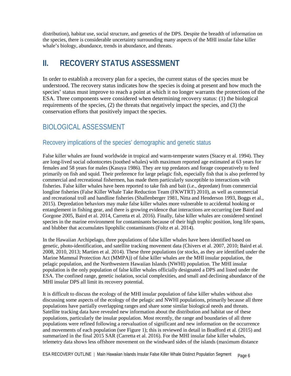distribution), habitat use, social structure, and genetics of the DPS. Despite the breadth of information on the species, there is considerable uncertainty surrounding many aspects of the MHI insular false killer whale's biology, abundance, trends in abundance, and threats.

# <span id="page-5-0"></span>**II. RECOVERY STATUS ASSESSMENT**

In order to establish a recovery plan for a species, the current status of the species must be understood. The recovery status indicates how the species is doing at present and how much the species' status must improve to reach a point at which it no longer warrants the protections of the ESA. Three components were considered when determining recovery status: (1) the biological requirements of the species, (2) the threats that negatively impact the species, and (3) the conservation efforts that positively impact the species.

# <span id="page-5-1"></span>BIOLOGICAL ASSESSMENT

### <span id="page-5-2"></span>Recovery implications of the species' demographic and genetic status

False killer whales are found worldwide in tropical and warm-temperate waters (Stacey et al. 1994). They are long-lived social odontocetes (toothed whales) with maximum reported age estimated at 63 years for females and 58 years for males (Kasuya 1986). They are top predators and forage cooperatively to feed primarily on fish and squid. Their preference for large pelagic fish, especially fish that is also preferred by commercial and recreational fishermen, has made them particularly susceptible to interactions with fisheries. False killer whales have been reported to take fish and bait (i.e., depredate) from commercial longline fisheries (False Killer Whale Take Reduction Team (FKWTRT) 2010), as well as commercial and recreational troll and handline fisheries (Shallenberger 1981, Nitta and Henderson 1993, Boggs et al., 2015). Depredation behaviors may make false killer whales more vulnerable to accidental hooking or entanglement in fishing gear, and there is growing evidence that interactions are occurring (see Baird and Gorgone 2005, Baird et al. 2014, Carretta et al. 2016). Finally, false killer whales are considered sentinel species in the marine environment for contaminants because of their high trophic position, long life spans, and blubber that accumulates lipophilic contaminants (Foltz et al. 2014).

In the Hawaiian Archipelago, three populations of false killer whales have been identified based on genetic, photo-identification, and satellite tracking movement data (Chivers et al. 2007, 2010; Baird et al. 2008, 2010, 2013; Martien et al. 2014). These three populations (or stocks, as they are identified under the Marine Mammal Protection Act (MMPA)) of false killer whales are the MHI insular population, the pelagic population, and the Northwestern Hawaiian Islands (NWHI) population. The MHI insular population is the only population of false killer whales officially designated a DPS and listed under the ESA. The confined range, genetic isolation, social complexities, and small and declining abundance of the MHI insular DPS all limit its recovery potential.

It is difficult to discuss the ecology of the MHI insular population of false killer whales without also discussing some aspects of the ecology of the pelagic and NWHI populations, primarily because all three populations have partially overlapping ranges and share some similar biological needs and threats. Satellite tracking data have revealed new information about the distribution and habitat use of these populations, particularly the insular population. Most recently, the range and boundaries of all three populations were refined following a reevaluation of significant and new information on the occurrence and movements of each population (see Figure 1); this is reviewed in detail in Bradford et al. (2015) and summarized in the final 2015 SAR (Carretta et al. 2016). For the MHI insular false killer whales, telemetry data shows less offshore movement on the windward sides of the islands (maximum distance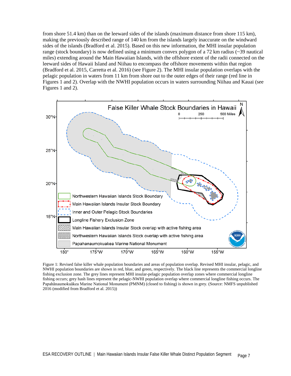from shore 51.4 km) than on the leeward sides of the islands (maximum distance from shore 115 km), making the previously described range of 140 km from the islands largely inaccurate on the windward sides of the islands (Bradford et al. 2015). Based on this new information, the MHI insular population range (stock boundary) is now defined using a minimum convex polygon of a 72 km radius (~39 nautical miles) extending around the Main Hawaiian Islands, with the offshore extent of the radii connected on the leeward sides of Hawaii Island and Niihau to encompass the offshore movements within that region (Bradford et al. 2015, Carretta et al. 2016) (see Figure 2). The MHI insular population overlaps with the pelagic population in waters from 11 km from shore out to the outer edges of their range (red line in Figures 1 and 2). Overlap with the NWHI population occurs in waters surrounding Niihau and Kauai (see Figures 1 and 2).



Figure 1: Revised false killer whale population boundaries and areas of population overlap. Revised MHI insular, pelagic, and NWHI population boundaries are shown in red, blue, and green, respectively. The black line represents the commercial longline fishing exclusion zone. The grey lines represent MHI insular-pelagic population overlap zones where commercial longline fishing occurs; grey hash lines represent the pelagic-NWHI population overlap where commercial longline fishing occurs. The Papahānaumokuākea Marine National Monument (PMNM) (closed to fishing) is shown in grey. (Source: NMFS unpublished 2016 (modified from Bradford et al. 2015))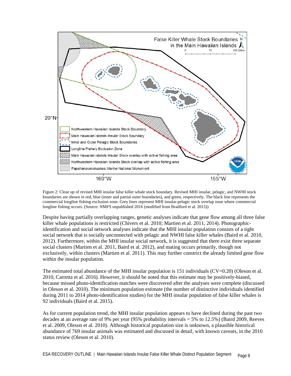

Figure 2: Close up of revised MHI insular false killer whale stock boundary. Revised MHI insular, pelagic, and NWHI stock boundaries are shown in red, blue (inner and partial outer boundaries), and green, respectively. The black line represents the commercial longline fishing exclusion zone. Grey lines represent MHI insular-pelagic stock overlap zone where commercial longline fishing occurs. (Source: NMFS unpublished 2016 (modified from Bradford et al. 2015))

Despite having partially overlapping ranges, genetic analyses indicate that gene flow among all three false killer whale populations is restricted (Chivers et al. 2010; Martien et al. 2011, 2014). Photographicidentification and social network analyses indicate that the MHI insular population consists of a tight social network that is socially unconnected with pelagic and NWHI false killer whales (Baird et al. 2010, 2012). Furthermore, within the MHI insular social network, it is suggested that there exist three separate social clusters (Martien et al. 2011, Baird et al. 2012), and mating occurs primarily, though not exclusively, within clusters (Martien et al. 2011). This may further constrict the already limited gene flow within the insular population.

The estimated total abundance of the MHI insular population is 151 individuals (CV=0.20) (Oleson et al. 2010, Carretta et al. 2016). However, it should be noted that this estimate may be positively-biased, because missed photo-identification matches were discovered after the analyses were complete (discussed in Oleson et al. 2010). The minimum population estimate (the number of distinctive individuals identified during 2011 to 2014 photo-identification studies) for the MHI insular population of false killer whales is 92 individuals (Baird et al. 2015).

As for current population trend, the MHI insular population appears to have declined during the past two decades at an average rate of 9% per year (95% probability intervals = 5% to 12.5%) (Baird 2009, Reeves et al. 2009, Oleson et al. 2010). Although historical population size is unknown, a plausible historical abundance of 769 insular animals was estimated and discussed in detail, with known caveats, in the 2010 status review (Oleson et al. 2010).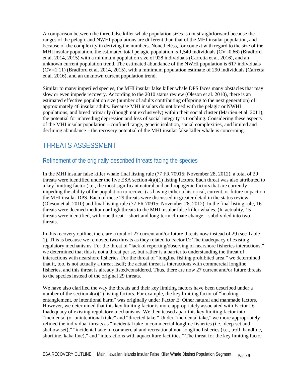A comparison between the three false killer whale population sizes is not straightforward because the ranges of the pelagic and NWHI populations are different than that of the MHI insular population, and because of the complexity in deriving the numbers. Nonetheless, for context with regard to the size of the MHI insular population, the estimated total pelagic population is  $1,540$  individuals (CV=0.66) (Bradford et al. 2014, 2015) with a minimum population size of 928 individuals (Carretta et al. 2016), and an unknown current population trend. The estimated abundance of the NWHI population is 617 individuals  $(CV=1.11)$  (Bradford et al. 2014, 2015), with a minimum population estimate of 290 individuals (Carretta) et al. 2016), and an unknown current population trend.

Similar to many imperiled species, the MHI insular false killer whale DPS faces many obstacles that may slow or even impede recovery. According to the 2010 status review (Oleson et al. 2010), there is an estimated effective population size (number of adults contributing offspring to the next generation) of approximately 46 insular adults. Because MHI insulars do not breed with the pelagic or NWHI populations, and breed primarily (though not exclusively) within their social cluster (Martien et al. 2011), the potential for inbreeding depression and loss of social integrity is troubling. Considering these aspects of the MHI insular population – confined range, genetic isolation, social complexities, and limited and declining abundance – the recovery potential of the MHI insular false killer whale is concerning.

# <span id="page-8-0"></span>THREATS ASSESSMENT

### <span id="page-8-1"></span>Refinement of the originally-described threats facing the species

In the MHI insular false killer whale final listing rule (77 FR 70915; November 28, 2012), a total of 29 threats were identified under the five ESA section  $4(a)(1)$  listing factors. Each threat was also attributed to a key limiting factor (i.e., the most significant natural and anthropogenic factors that are currently impeding the ability of the population to recover) as having either a historical, current, or future impact on the MHI insular DPS. Each of these 29 threats were discussed in greater detail in the status review (Oleson et al. 2010) and final listing rule (77 FR 70915; November 28, 2012). In the final listing rule, 16 threats were deemed medium or high threats to the MHI insular false killer whales. (In actuality, 15 threats were identified, with one threat – short-and long-term climate change – subdivided into two threats.

In this recovery outline, there are a total of 27 current and/or future threats now instead of 29 (see Table 1). This is because we removed two threats as they related to Factor D: The inadequacy of existing regulatory mechanisms. For the threat of "lack of reporting/observing of nearshore fisheries interactions," we determined that this is not a threat per se, but rather is a barrier to understanding the threat of interactions with nearshore fisheries. For the threat of "longline fishing prohibited area," we determined that it, too, is not actually a threat itself; the actual threat is interactions with commercial longline fisheries, and this threat is already listed/considered. Thus, there are now 27 current and/or future threats to the species instead of the original 29 threats.

We have also clarified the way the threats and their key limiting factors have been described under a number of the section  $4(a)(1)$  listing factors. For example, the key limiting factor of "hooking, entanglement, or intentional harm" was originally under Factor E: Other natural and manmade factors. However, we determined that this key limiting factor is more appropriately associated with Factor D: Inadequacy of existing regulatory mechanisms. We then teased apart this key limiting factor into "incidental (or unintentional) take" and "directed take." Under "incidental take," we more appropriately refined the individual threats as "incidental take in commercial longline fisheries (i.e., deep-set and shallow-set)," "incidental take in commercial and recreational non-longline fisheries (i.e., troll, handline, shortline, kaka line)," and "interactions with aquaculture facilities." The threat for the key limiting factor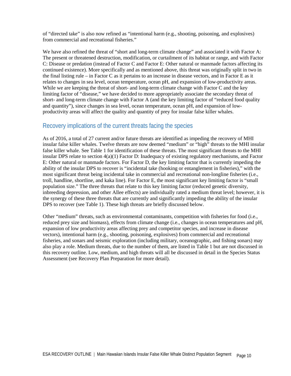of "directed take" is also now refined as "intentional harm (e.g., shooting, poisoning, and explosives) from commercial and recreational fisheries."

We have also refined the threat of "short and long-term climate change" and associated it with Factor A: The present or threatened destruction, modification, or curtailment of its habitat or range, and with Factor C: Disease or predation (instead of Factor C and Factor E: Other natural or manmade factors affecting its continued existence). More specifically and as mentioned above, this threat was originally split in two in the final listing rule – in Factor C as it pertains to an increase in disease vectors, and in Factor E as it relates to changes in sea level, ocean temperature, ocean pH, and expansion of low-productivity areas. While we are keeping the threat of short- and long-term climate change with Factor C and the key limiting factor of "disease," we have decided to more appropriately associate the secondary threat of short- and long-term climate change with Factor A (and the key limiting factor of "reduced food quality and quantity"), since changes in sea level, ocean temperature, ocean pH, and expansion of lowproductivity areas will affect the quality and quantity of prey for insular false killer whales.

#### <span id="page-9-0"></span>Recovery implications of the current threats facing the species

As of 2016, a total of 27 current and/or future threats are identified as impeding the recovery of MHI insular false killer whales. Twelve threats are now deemed "medium" or "high" threats to the MHI insular false killer whale. See Table 1 for identification of these threats. The most significant threats to the MHI insular DPS relate to section 4(a)(1) Factor D: Inadequacy of existing regulatory mechanisms, and Factor E: Other natural or manmade factors. For Factor D, the key limiting factor that is currently impeding the ability of the insular DPS to recover is "incidental take (hooking or entanglement in fisheries)," with the most significant threat being incidental take in commercial and recreational non-longline fisheries (i.e., troll, handline, shortline, and kaka line). For Factor E, the most significant key limiting factor is "small population size." The three threats that relate to this key limiting factor (reduced genetic diversity, inbreeding depression, and other Allee effects) are individually rated a medium threat level; however, it is the synergy of these three threats that are currently and significantly impeding the ability of the insular DPS to recover (see Table 1). These high threats are briefly discussed below.

Other "medium" threats, such as environmental contaminants, competition with fisheries for food (i.e., reduced prey size and biomass), effects from climate change (i.e., changes in ocean temperatures and pH, expansion of low productivity areas affecting prey and competitor species, and increase in disease vectors), intentional harm (e.g., shooting, poisoning, explosives) from commercial and recreational fisheries, and sonars and seismic exploration (including military, oceanographic, and fishing sonars) may also play a role. Medium threats, due to the number of them, are listed in Table 1 but are not discussed in this recovery outline. Low, medium, and high threats will all be discussed in detail in the Species Status Assessment (see Recovery Plan Preparation for more detail).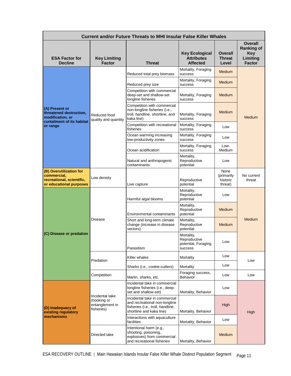| <b>Current and/or Future Threats to MHI Insular False Killer Whales</b>                        |                                                                                  |                                                                                                                                 |                                                               |                                           |                                                                                |  |
|------------------------------------------------------------------------------------------------|----------------------------------------------------------------------------------|---------------------------------------------------------------------------------------------------------------------------------|---------------------------------------------------------------|-------------------------------------------|--------------------------------------------------------------------------------|--|
| <b>ESA Factor for</b><br><b>Decline</b>                                                        | <b>Key Limiting</b><br><b>Factor</b>                                             | Threat                                                                                                                          | <b>Key Ecological</b><br><b>Attributes</b><br><b>Affected</b> | Overall<br><b>Threat</b><br>Level         | <b>Overall</b><br><b>Ranking of</b><br><b>Key</b><br>Limiting<br><b>Factor</b> |  |
| (A) Present or<br>threatened destruction,<br>modification, or                                  | Reduced food<br>quality and quantity                                             | Reduced total prey biomass                                                                                                      | Mortality, Foraging<br>success                                | <b>Medium</b>                             | Medium                                                                         |  |
|                                                                                                |                                                                                  | Reduced prey size                                                                                                               | Mortality, Foraging<br>success                                | <b>Medium</b>                             |                                                                                |  |
|                                                                                                |                                                                                  | Competition with commercial<br>deep-set and shallow-set<br>longline fisheries                                                   | Mortality, Foraging<br>success                                | Medium                                    |                                                                                |  |
|                                                                                                |                                                                                  | Competition with commercial<br>non-longline fisheries (i.e.,<br>troll, handline, shortline, and<br>kaka line)                   | Mortality, Foraging<br>success                                | <b>Medium</b>                             |                                                                                |  |
| curtailment of its habitat<br>or range                                                         |                                                                                  | Competition with recreational<br>fisheries                                                                                      | Mortality, Foraging<br>success                                | Low                                       |                                                                                |  |
|                                                                                                |                                                                                  | Ocean warming increasing<br>low-productivity zones                                                                              | Mortality, Foraging<br>success                                | Low                                       |                                                                                |  |
|                                                                                                |                                                                                  | Ocean acidification                                                                                                             | Mortality, Foraging<br>success                                | Low-<br>Medium                            |                                                                                |  |
|                                                                                                |                                                                                  | Natural and anthropogenic<br>contaminants                                                                                       | Mortality,<br>Reproductive<br>potential                       | Low                                       |                                                                                |  |
| (B) Overutilization for<br>commercial,<br>recreational, scientific,<br>or educational purposes | Low density                                                                      | Live capture                                                                                                                    | Reproductive<br>potential                                     | None<br>(primarily<br>historic<br>threat) | No current<br>threat                                                           |  |
| (C) Disease or predation                                                                       | <b>Disease</b>                                                                   | Harmful algal blooms                                                                                                            | Mortality,<br>Reproductive<br>potential                       | Low                                       | Medium                                                                         |  |
|                                                                                                |                                                                                  | <b>Environmental contaminants</b>                                                                                               | Mortality,<br>Reproductive<br>potential                       | Medium                                    |                                                                                |  |
|                                                                                                |                                                                                  | Short and long-term climate<br>change (increase in disease<br>vectors)                                                          | Mortality,<br>Reproductive<br>potential                       | <b>Medium</b>                             |                                                                                |  |
|                                                                                                |                                                                                  | Parasitism                                                                                                                      | Mortality,<br>Reproductive<br>potential, Foraging<br>success  | Low                                       |                                                                                |  |
|                                                                                                | Predation                                                                        | Killer whales                                                                                                                   | Mortality                                                     | Low                                       | Low                                                                            |  |
|                                                                                                |                                                                                  | Sharks (i.e., cookie-cutters)                                                                                                   | Mortality                                                     | Low                                       |                                                                                |  |
|                                                                                                | Competition                                                                      | Marlin, sharks, etc.                                                                                                            | Foraging success,<br>Behavior                                 | Low                                       | Low                                                                            |  |
| (D) Inadequacy of<br>existing regulatory<br>mechanisms                                         | Incidental take<br>(hooking or<br>entanglement in<br>fisheries)<br>Directed take | Incidental take in commercial<br>longline fisheries (i.e., deep-<br>set and shallow-set)                                        | Mortality, Behavior                                           | Low                                       | High                                                                           |  |
|                                                                                                |                                                                                  | Incidental take in commercial<br>and recreational non-longline<br>fisheries (i.e., troll, handline,<br>shortline and kaka line) | Mortality, Behavior                                           | High                                      |                                                                                |  |
|                                                                                                |                                                                                  | Interactions with aquaculture<br>facilities                                                                                     | Mortality, Behavior                                           | Low                                       |                                                                                |  |
|                                                                                                |                                                                                  | Intentional harm (e.g.,<br>shooting, poisoning,<br>explosives) from commercial<br>and recreational fisheries                    | Mortality, Behavior                                           | Medium                                    |                                                                                |  |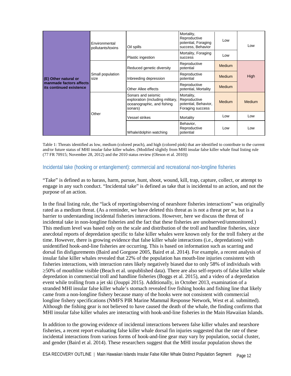| (E) Other natural or<br>manmade factors affects<br>its continued existence | Environmental<br>pollutants/toxins | Oil spills                                                                                      | Mortality,<br>Reproductive<br>potential, Foraging<br>success, Behavior | Low           | Low           |
|----------------------------------------------------------------------------|------------------------------------|-------------------------------------------------------------------------------------------------|------------------------------------------------------------------------|---------------|---------------|
|                                                                            |                                    | Plastic ingestion                                                                               | Mortality, Foraging<br>success                                         | Low           |               |
|                                                                            | Small population<br>size           | Reduced genetic diversity                                                                       | Reproductive<br>potential                                              | <b>Medium</b> | High          |
|                                                                            |                                    | Inbreeding depression                                                                           | Reproductive<br>potential                                              | <b>Medium</b> |               |
|                                                                            |                                    | Other Allee effects                                                                             | Reproductive<br>potential, Mortality                                   | <b>Medium</b> |               |
|                                                                            | Other                              | Sonars and seismic<br>exploration (including military,<br>oceanographic, and fishing<br>sonars) | Mortality,<br>Reproductive<br>potential, Behavior,<br>Foraging success | <b>Medium</b> | <b>Medium</b> |
|                                                                            |                                    | Vessel strikes                                                                                  | Mortality                                                              | Low           | Low           |
|                                                                            |                                    | Whale/dolphin watching                                                                          | Behavior,<br>Reproductive<br>potential                                 | Low           | Low           |

Table 1: Threats identified as low, medium (colored peach), and high (colored pink) that are identified to contribute to the current and/or future status of MHI insular false killer whales. (Modified slightly from MHI insular false killer whale final listing rule (77 FR 70915; November 28, 2012) and the 2010 status review (Oleson et al. 2010))

#### Incidental take (hooking or entanglement): commercial and recreational non-longline fisheries

"Take" is defined as to harass, harm, pursue, hunt, shoot, wound, kill, trap, capture, collect, or attempt to engage in any such conduct. "Incidental take" is defined as take that is incidental to an action, and not the purpose of an action.

In the final listing rule, the "lack of reporting/observing of nearshore fisheries interactions" was originally rated as a medium threat. (As a reminder, we have deleted this threat as is not a threat per se, but is a barrier to understanding incidental fisheries interactions. However, here we discuss the threat of incidental take in non-longline fisheries and the fact that these fisheries are unobserved/unmonitored.) This medium level was based only on the scale and distribution of the troll and handline fisheries, since anecdotal reports of depredation specific to false killer whales were known only for the troll fishery at the time. However, there is growing evidence that false killer whale interactions (i.e., depredations) with unidentified hook-and-line fisheries are occurring. This is based on information such as scarring and dorsal fin disfigurements (Baird and Gorgone 2005, Baird et al. 2014). For example, a recent analysis of insular false killer whales revealed that 22% of the population has mouth-line injuries consistent with fisheries interactions, with interaction rates likely negatively biased due to only 58% of individuals with ≥50% of mouthline visible (Beach et al. unpublished data). There are also self-reports of false killer whale depredation in commercial troll and handline fisheries (Boggs et al. 2015), and a video of a depredation event while trolling from a jet ski (Jouppi 2015). Additionally, in October 2013, examination of a stranded MHI insular false killer whale's stomach revealed five fishing hooks and fishing line that likely came from a non-longline fishery because many of the hooks were not consistent with commercial longline fishery specifications (NMFS PIR Marine Mammal Response Network, West et al. submitted). Although the fishing gear is not believed to have caused the death of the whale, the finding confirms that MHI insular false killer whales are interacting with hook-and-line fisheries in the Main Hawaiian Islands.

In addition to the growing evidence of incidental interactions between false killer whales and nearshore fisheries, a recent report evaluating false killer whale dorsal fin injuries suggested that the rate of these incidental interactions from various forms of hook-and-line gear may vary by population, social cluster, and gender (Baird et al. 2014). These researchers suggest that the MHI insular population shows the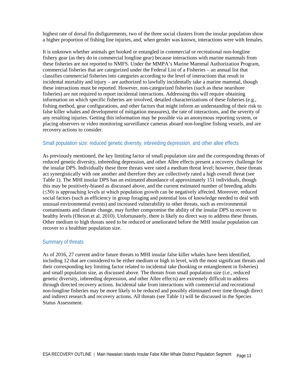highest rate of dorsal fin disfigurements, two of the three social clusters from the insular population show a higher proportion of fishing line injuries, and, when gender was known, interactions were with females.

It is unknown whether animals get hooked or entangled in commercial or recreational non-longline fishery gear (as they do in commercial longline gear) because interactions with marine mammals from these fisheries are not reported to NMFS. Under the MMPA's Marine Mammal Authorization Program, commercial fisheries that are categorized under the Federal List of a Fisheries – an annual list that classifies commercial fisheries into categories according to the level of interactions that result in incidental mortality and injury – are authorized to lawfully incidentally take a marine mammal, though these interactions must be reported. However, non-categorized fisheries (such as these nearshore fisheries) are not required to report incidental interactions. Addressing this will require obtaining information on which specific fisheries are involved, detailed characterizations of these fisheries (e.g., fishing method, gear configurations, and other factors that might inform an understanding of their risk to false killer whales and development of mitigation measures), the rate of interactions, and the severity of any resulting injuries. Getting this information may be possible via an anonymous reporting system, or placing observers or video monitoring surveillance cameras aboard non-longline fishing vessels, and are recovery actions to consider.

#### Small population size: reduced genetic diversity, inbreeding depression, and other allee effects

As previously mentioned, the key limiting factor of small population size and the corresponding threats of reduced genetic diversity, inbreeding depression, and other Allee effects present a recovery challenge for the insular DPS. Individually these three threats were rated a medium threat level; however, these threats act synergistically with one another and therefore they are collectively rated a high overall threat (see Table 1). The MHI insular DPS has an estimated abundance of approximately 151 individuals, though this may be positively-biased as discussed above, and the current estimated number of breeding adults  $(\leq 50)$  is approaching levels at which population growth can be negatively affected. Moreover, reduced social factors (such as efficiency in group foraging and potential loss of knowledge needed to deal with unusual environmental events) and increased vulnerability to other threats, such as environmental contaminants and climate change, may further compromise the ability of the insular DPS to recover to healthy levels (Oleson et al. 2010). Unfortunately, there is likely no direct way to address these threats. Other medium to high threats need to be reduced or ameliorated before the MHI insular population can recover to a healthier population size.

#### Summary of threats

As of 2016, 27 current and/or future threats to MHI insular false killer whales have been identified, including 12 that are considered to be either medium or high in level, with the most significant threats and their corresponding key limiting factor related to incidental take (hooking or entanglement in fisheries) and small population size, as discussed above. The threats from small population size (i.e., reduced genetic diversity, inbreeding depression, and other Allee effects) are extremely difficult to address through directed recovery actions. Incidental take from interactions with commercial and recreational non-longline fisheries may be more likely to be reduced and possibly eliminated over time through direct and indirect research and recovery actions. All threats (see Table 1) will be discussed in the Species Status Assessment.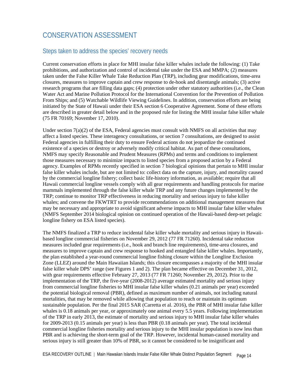# <span id="page-13-0"></span>CONSERVATION ASSESSMENT

### <span id="page-13-1"></span>Steps taken to address the species' recovery needs

Current conservation efforts in place for MHI insular false killer whales include the following: (1) Take prohibitions, and authorization and control of incidental take under the ESA and MMPA; (2) measures taken under the False Killer Whale Take Reduction Plan (TRP), including gear modifications, time-area closures, measures to improve captain and crew response to de-hook and disentangle animals; (3) active research programs that are filling data gaps; (4) protection under other statutory authorities (i.e., the Clean Water Act and Marine Pollution Protocol for the International Convention for the Prevention of Pollution From Ships; and (5) Watchable Wildlife Viewing Guidelines. In addition, conservation efforts are being initiated by the State of Hawaii under their ESA section 6 Cooperative Agreement. Some of these efforts are described in greater detail below and in the proposed rule for listing the MHI insular false killer whale (75 FR 70169; November 17, 2010).

Under section  $7(a)(2)$  of the ESA, Federal agencies must consult with NMFS on all activities that may affect a listed species. These interagency consultations, or section 7 consultations, are designed to assist Federal agencies in fulfilling their duty to ensure Federal actions do not jeopardize the continued existence of a species or destroy or adversely modify critical habitat. As part of these consultations, NMFS may specify Reasonable and Prudent Measures (RPMs) and terms and conditions to implement those measures necessary to minimize impacts to listed species from a proposed action by a Federal agency. Examples of RPMs recently specified in section 7 biological opinions that pertain to MHI insular false killer whales include, but are not limited to: collect data on the capture, injury, and mortality caused by the commercial longline fishery; collect basic life-history information, as available; require that all Hawaii commercial longline vessels comply with all gear requirements and handling protocols for marine mammals implemented through the false killer whale TRP and any future changes implemented by the TRP; continue to monitor TRP effectiveness in reducing mortality and serious injury to false killer whales; and convene the FKWTRT to provide recommendations on additional management measures that may be necessary and appropriate to avoid significant adverse impacts to MHI insular false killer whales (NMFS September 2014 biological opinion on continued operation of the Hawaii-based deep-set pelagic longline fishery on ESA listed species).

The NMFS finalized a TRP to reduce incidental false killer whale mortality and serious injury in Hawaiibased longline commercial fisheries on November 29, 2012 (77 FR 71260). Incidental take reduction measures included gear requirements (i.e., hook and branch line requirements), time-area closures, and measures to improve captain and crew response to hooked and entangled false killer whales. Importantly, the plan established a year-round commercial longline fishing closure within the Longline Exclusion Zone (LLEZ) around the Main Hawaiian Islands; this closure encompasses a majority of the MHI insular false killer whale DPS' range (see Figures 1 and 2). The plan became effective on December 31, 2012, with gear requirements effective February 27, 2013 (77 FR 71260; November 29, 2012). Prior to the implementation of the TRP, the five-year (2008-2012) average estimated mortality and serious injury from commercial longline fisheries to MHI insular false killer whales (0.21 animals per year) exceeded the potential biological removal (PBR), defined as maximum number of animals, not including natural mortalities, that may be removed while allowing that population to reach or maintain its optimum sustainable population. Per the final 2015 SAR (Carretta et al. 2016), the PBR of MHI insular false killer whales is 0.18 animals per year, or approximately one animal every 5.5 years. Following implementation of the TRP in early 2013, the estimate of mortality and serious injury to MHI insular false killer whales for 2009-2013 (0.15 animals per year) is less than PBR (0.18 animals per year). The total incidental commercial longline fisheries mortality and serious injury to the MHI insular population is now less than PBR and is achieving the short-term goal of the TRP. However, incidental human-caused mortality and serious injury is still greater than 10% of PBR, so it cannot be considered to be insignificant and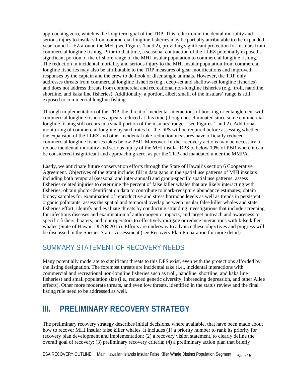approaching zero, which is the long-term goal of the TRP. This reduction in incidental mortality and serious injury to insulars from commercial longline fisheries may be partially attributable to the expanded year-round LLEZ around the MHI (see Figures 1 and 2), providing significant protection for insulars from commercial longline fishing. Prior to that time, a seasonal contraction of the LLEZ potentially exposed a significant portion of the offshore range of the MHI insular population to commercial longline fishing. The reduction in incidental mortality and serious injury to the MHI insular population from commercial longline fisheries may also be attributable to the TRP measures of gear modifications and improved responses by the captain and the crew to de-hook or disentangle animals. However, the TRP only addresses threats from commercial longline fisheries (e.g., deep-set and shallow-set longline fisheries) and does not address threats from commercial and recreational non-longline fisheries (e.g., troll, handline, shortline, and kaka line fisheries). Additionally, a portion, albeit small, of the insulars' range is still exposed to commercial longline fishing.

Through implementation of the TRP, the threat of incidental interactions of hooking or entanglement with commercial longline fisheries appears reduced at this time (though not eliminated since some commercial longline fishing still occurs in a small portion of the insulars' range – see Figures 1 and 2). Additional monitoring of commercial longline bycatch rates for the DPS will be required before assessing whether the expansion of the LLEZ and other incidental take-reduction measures have officially reduced commercial longline fisheries takes below PBR. Moreover, further recovery actions may be necessary to reduce incidental mortality and serious injury of the MHI insular DPS to below 10% of PBR where it can be considered insignificant and approaching zero, as per the TRP and mandated under the MMPA.

Lastly, we anticipate future conservation efforts through the State of Hawaii's section 6 Cooperative Agreement. Objectives of the grant include: fill in data gaps in the spatial use patterns of MHI insulars including both temporal (seasonal and inter-annual) and group-specific spatial use patterns; assess fisheries-related injuries to determine the percent of false killer whales that are likely interacting with fisheries; obtain photo-identification data to contribute to mark-recapture abundance estimates; obtain biopsy samples for examination of reproductive and stress hormone levels as well as trends in persistent organic pollutants; assess the spatial and temporal overlap between insular false killer whales and state fisheries effort; identify and evaluate threats by conducting stranding investigations that include screening for infectious diseases and examination of anthropogenic impacts; and target outreach and awareness to specific fishers, boaters, and tour operators to effectively mitigate or reduce interactions with false killer whales (State of Hawaii DLNR 2016). Efforts are underway to advance these objectives and progress will be discussed in the Species Status Assessment (see Recovery Plan Preparation for more detail).

# <span id="page-14-0"></span>SUMMARY STATEMENT OF RECOVERY NEEDS

Many potentially moderate to significant threats to this DPS exist, even with the protections afforded by the listing designation. The foremost threats are incidental take (i.e., incidental interactions with commercial and recreational non-longline fisheries such as troll, handline, shortline, and kaka line fisheries) and small population size (i.e., reduced genetic diversity, inbreeding depression, and other Allee effects). Other more moderate threats, and even low threats, identified in the status review and the final listing rule need to be addressed as well.

# <span id="page-14-1"></span>**III. PRELIMINARY RECOVERY STRATEGY**

The preliminary recovery strategy describes initial decisions, where available, that have been made about how to recover MHI insular false killer whales. It includes (1) a priority number to rank its priority for recovery plan development and implementation; (2) a recovery vision statement, to clearly define the overall goal of recovery; (3) preliminary recovery criteria; (4) a preliminary action plan that briefly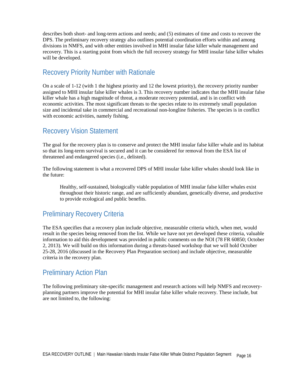describes both short- and long-term actions and needs; and (5) estimates of time and costs to recover the DPS. The preliminary recovery strategy also outlines potential coordination efforts within and among divisions in NMFS, and with other entities involved in MHI insular false killer whale management and recovery. This is a starting point from which the full recovery strategy for MHI insular false killer whales will be developed.

## <span id="page-15-0"></span>Recovery Priority Number with Rationale

On a scale of 1-12 (with 1 the highest priority and 12 the lowest priority), the recovery priority number assigned to MHI insular false killer whales is 3. This recovery number indicates that the MHI insular false killer whale has a high magnitude of threat, a moderate recovery potential, and is in conflict with economic activities. The most significant threats to the species relate to its extremely small population size and incidental take in commercial and recreational non-longline fisheries. The species is in conflict with economic activities, namely fishing.

# <span id="page-15-1"></span>Recovery Vision Statement

The goal for the recovery plan is to conserve and protect the MHI insular false killer whale and its habitat so that its long-term survival is secured and it can be considered for removal from the ESA list of threatened and endangered species (i.e., delisted).

The following statement is what a recovered DPS of MHI insular false killer whales should look like in the future:

Healthy, self-sustained, biologically viable population of MHI insular false killer whales exist throughout their historic range, and are sufficiently abundant, genetically diverse, and productive to provide ecological and public benefits.

## <span id="page-15-2"></span>Preliminary Recovery Criteria

The ESA specifies that a recovery plan include objective, measurable criteria which, when met, would result in the species being removed from the list. While we have not yet developed these criteria, valuable information to aid this development was provided in public comments on the NOI (78 FR 60850; October 2, 2013). We will build on this information during a threats-based workshop that we will hold October 25-28, 2016 (discussed in the Recovery Plan Preparation section) and include objective, measurable criteria in the recovery plan.

## <span id="page-15-3"></span>Preliminary Action Plan

The following preliminary site-specific management and research actions will help NMFS and recoveryplanning partners improve the potential for MHI insular false killer whale recovery. These include, but are not limited to, the following: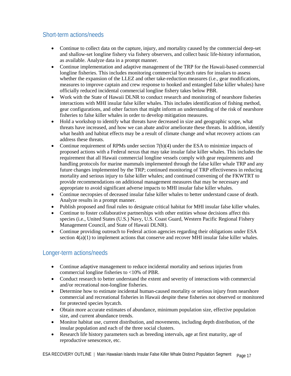### <span id="page-16-0"></span>Short-term actions/needs

- Continue to collect data on the capture, injury, and mortality caused by the commercial deep-set and shallow-set longline fishery via fishery observers, and collect basic life-history information, as available. Analyze data in a prompt manner.
- Continue implementation and adaptive management of the TRP for the Hawaii-based commercial longline fisheries. This includes monitoring commercial bycatch rates for insulars to assess whether the expansion of the LLEZ and other take-reduction measures (i.e., gear modifications, measures to improve captain and crew response to hooked and entangled false killer whales) have officially reduced incidental commercial longline fishery takes below PBR.
- Work with the State of Hawaii DLNR to conduct research and monitoring of nearshore fisheries interactions with MHI insular false killer whales. This includes identification of fishing method, gear configurations, and other factors that might inform an understanding of the risk of nearshore fisheries to false killer whales in order to develop mitigation measures.
- Hold a workshop to identify what threats have decreased in size and geographic scope, what threats have increased, and how we can abate and/or ameliorate these threats. In addition, identify what health and habitat effects may be a result of climate change and what recovery actions can address these threats.
- Continue requirement of RPMs under section 7(b)(4) under the ESA to minimize impacts of proposed actions with a Federal nexus that may take insular false killer whales. This includes the requirement that all Hawaii commercial longline vessels comply with gear requirements and handling protocols for marine mammals implemented through the false killer whale TRP and any future changes implemented by the TRP; continued monitoring of TRP effectiveness in reducing mortality and serious injury to false killer whales; and continued convening of the FKWTRT to provide recommendations on additional management measures that may be necessary and appropriate to avoid significant adverse impacts to MHI insular false killer whales.
- Continue necropsies of deceased insular false killer whales to better understand cause of death. Analyze results in a prompt manner.
- Publish proposed and final rules to designate critical habitat for MHI insular false killer whales.
- Continue to foster collaborative partnerships with other entities whose decisions affect this species (i.e., United States (U.S.) Navy, U.S. Coast Guard, Western Pacific Regional Fishery Management Council, and State of Hawaii DLNR).
- Continue providing outreach to Federal action agencies regarding their obligations under ESA section  $4(a)(1)$  to implement actions that conserve and recover MHI insular false killer whales.

### <span id="page-16-1"></span>Longer-term actions/needs

- Continue adaptive management to reduce incidental mortality and serious injuries from commercial longline fisheries to <10% of PBR.
- Conduct research to better understand the extent and severity of interactions with commercial and/or recreational non-longline fisheries.
- Determine how to estimate incidental human-caused mortality or serious injury from nearshore commercial and recreational fisheries in Hawaii despite these fisheries not observed or monitored for protected species bycatch.
- Obtain more accurate estimates of abundance, minimum population size, effective population size, and current abundance trends.
- Monitor habitat use, current distribution, and movements, including depth distribution, of the insular population and each of the three social clusters.
- Research life history parameters such as breeding intervals, age at first maturity, age of reproductive senescence, etc.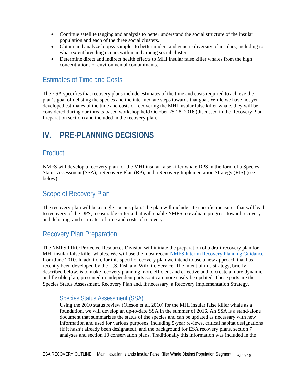- Continue satellite tagging and analysis to better understand the social structure of the insular population and each of the three social clusters.
- Obtain and analyze biopsy samples to better understand genetic diversity of insulars, including to what extent breeding occurs within and among social clusters.
- Determine direct and indirect health effects to MHI insular false killer whales from the high concentrations of environmental contaminants.

## <span id="page-17-0"></span>Estimates of Time and Costs

The ESA specifies that recovery plans include estimates of the time and costs required to achieve the plan's goal of delisting the species and the intermediate steps towards that goal. While we have not yet developed estimates of the time and costs of recovering the MHI insular false killer whale, they will be considered during our threats-based workshop held October 25-28, 2016 (discussed in the Recovery Plan Preparation section) and included in the recovery plan.

# <span id="page-17-1"></span>**IV. PRE-PLANNING DECISIONS**

## <span id="page-17-2"></span>**Product**

NMFS will develop a recovery plan for the MHI insular false killer whale DPS in the form of a Species Status Assessment (SSA), a Recovery Plan (RP), and a Recovery Implementation Strategy (RIS) (see below).

## <span id="page-17-3"></span>Scope of Recovery Plan

The recovery plan will be a single-species plan. The plan will include site-specific measures that will lead to recovery of the DPS, measurable criteria that will enable NMFS to evaluate progress toward recovery and delisting, and estimates of time and costs of recovery.

## <span id="page-17-4"></span>Recovery Plan Preparation

The NMFS PIRO Protected Resources Division will initiate the preparation of a draft recovery plan for MHI insular false killer whales. We will use the most recent [NMFS Interim Recovery Planning Guidance](http://www.nmfs.noaa.gov/pr/pdfs/recovery/guidance.pdf) from June 2010. In addition, for this specific recovery plan we intend to use a new approach that has recently been developed by the U.S. Fish and Wildlife Service. The intent of this strategy, briefly described below, is to make recovery planning more efficient and effective and to create a more dynamic and flexible plan, presented in independent parts so it can more easily be updated. These parts are the Species Status Assessment, Recovery Plan and, if necessary, a Recovery Implementation Strategy.

#### <span id="page-17-5"></span>Species Status Assessment (SSA)

Using the 2010 status review (Oleson et al. 2010) for the MHI insular false killer whale as a foundation, we will develop an up-to-date SSA in the summer of 2016. An SSA is a stand-alone document that summarizes the status of the species and can be updated as necessary with new information and used for various purposes, including 5-year reviews, critical habitat designations (if it hasn't already been designated), and the background for ESA recovery plans, section 7 analyses and section 10 conservation plans. Traditionally this information was included in the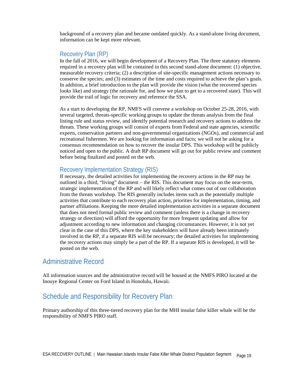background of a recovery plan and became outdated quickly. As a stand-alone living document, information can be kept more relevant.

#### <span id="page-18-0"></span>Recovery Plan (RP)

In the fall of 2016, we will begin development of a Recovery Plan. The three statutory elements required in a recovery plan will be contained in this second stand-alone document: (1) objective, measurable recovery criteria; (2) a description of site-specific management actions necessary to conserve the species; and (3) estimates of the time and costs required to achieve the plan's goals. In addition, a brief introduction to the plan will provide the vision (what the recovered species looks like) and strategy (the rationale for, and how we plan to get to a recovered state). This will provide the trail of logic for recovery and reference the SSA.

As a start to developing the RP, NMFS will convene a workshop on October 25-28, 2016, with several targeted, threats-specific working groups to update the threats analysis from the final listing rule and status review, and identify potential research and recovery actions to address the threats. These working groups will consist of experts from Federal and state agencies, scientific experts, conservation partners and non-governmental organizations (NGOs), and commercial and recreational fishermen. We are looking for information and facts; we will not be asking for a consensus recommendation on how to recover the insular DPS. This workshop will be publicly noticed and open to the public. A draft RP document will go out for public review and comment before being finalized and posted on the web.

#### <span id="page-18-1"></span>Recovery Implementation Strategy (RIS)

If necessary, the detailed activities for implementing the recovery actions in the RP may be outlined in a third, "living" document – the RIS. This document may focus on the near-term, strategic implementation of the RP and will likely reflect what comes out of our collaboration from the threats workshop. The RIS generally includes items such as the potentially multiple activities that contribute to each recovery plan action, priorities for implementation, timing, and partner affiliations. Keeping the more detailed implementation activities in a separate document that does not need formal public review and comment (unless there is a change in recovery strategy or direction) will afford the opportunity for more frequent updating and allow for adjustment according to new information and changing circumstances. However, it is not yet clear in the case of this DPS, where the key stakeholders will have already been intimately involved in the RP, if a separate RIS will be necessary; the detailed activities for implementing the recovery actions may simply be a part of the RP. If a separate RIS is developed, it will be posted on the web.

### <span id="page-18-2"></span>Administrative Record

All information sources and the administrative record will be housed at the NMFS PIRO located at the Inouye Regional Center on Ford Island in Honolulu, Hawaii.

## <span id="page-18-3"></span>Schedule and Responsibility for Recovery Plan

Primary authorship of this three-tiered recovery plan for the MHI insular false killer whale will be the responsibility of NMFS PIRO staff.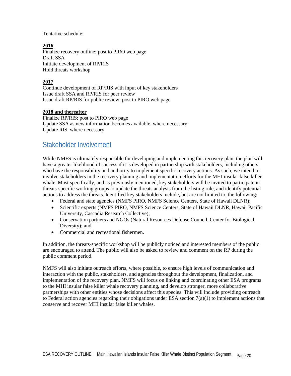Tentative schedule:

#### **2016**

Finalize recovery outline; post to PIRO web page Draft SSA Initiate development of RP/RIS Hold threats workshop

#### **2017**

Continue development of RP/RIS with input of key stakeholders Issue draft SSA and RP/RIS for peer review Issue draft RP/RIS for public review; post to PIRO web page

#### **2018 and thereafter**

Finalize RP/RIS; post to PIRO web page Update SSA as new information becomes available, where necessary Update RIS, where necessary

## <span id="page-19-0"></span>Stakeholder Involvement

While NMFS is ultimately responsible for developing and implementing this recovery plan, the plan will have a greater likelihood of success if it is developed in partnership with stakeholders, including others who have the responsibility and authority to implement specific recovery actions. As such, we intend to involve stakeholders in the recovery planning and implementation efforts for the MHI insular false killer whale. Most specifically, and as previously mentioned, key stakeholders will be invited to participate in threats-specific working groups to update the threats analysis from the listing rule, and identify potential actions to address the threats. Identified key stakeholders include, but are not limited to, the following:

- Federal and state agencies (NMFS PIRO, NMFS Science Centers, State of Hawaii DLNR);
- Scientific experts (NMFS PIRO, NMFS Science Centers, State of Hawaii DLNR, Hawaii Pacific University, Cascadia Research Collective);
- Conservation partners and NGOs (Natural Resources Defense Council, Center for Biological Diversity); and
- Commercial and recreational fishermen.

In addition, the threats-specific workshop will be publicly noticed and interested members of the public are encouraged to attend. The public will also be asked to review and comment on the RP during the public comment period.

NMFS will also initiate outreach efforts, where possible, to ensure high levels of communication and interaction with the public, stakeholders, and agencies throughout the development, finalization, and implementation of the recovery plan. NMFS will focus on linking and coordinating other ESA programs to the MHI insular false killer whale recovery planning, and develop stronger, more collaborative partnerships with other entities whose decisions affect this species. This will include providing outreach to Federal action agencies regarding their obligations under ESA section  $7(a)(1)$  to implement actions that conserve and recover MHI insular false killer whales.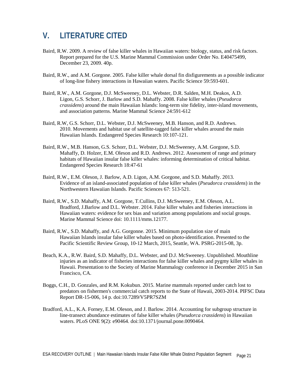# <span id="page-20-0"></span>**V. LITERATURE CITED**

- Baird, R.W. 2009. A review of false killer whales in Hawaiian waters: biology, status, and risk factors. Report prepared for the U.S. Marine Mammal Commission under Order No. E40475499, December 23, 2009. 40p.
- Baird, R.W., and A.M. Gorgone. 2005. False killer whale dorsal fin disfigurements as a possible indicator of long-line fishery interactions in Hawaiian waters. Pacific Science 59:593-601.
- Baird, R.W., A.M. Gorgone, D.J. McSweeney, D.L. Webster, D.R. Salden, M.H. Deakos, A.D. Ligon, G.S. Schorr, J. Barlow and S.D. Mahaffy. 2008. False killer whales (*Pseudorca crassidens*) around the main Hawaiian Islands: long-term site fidelity, inter-island movements, and association patterns. Marine Mammal Science 24:591-612
- Baird, R.W, G.S. Schorr, D.L. Webster, D.J. McSweeney, M.B. Hanson, and R.D. Andrews. 2010. Movements and habitat use of satellite-tagged false killer whales around the main Hawaiian Islands. Endangered Species Research 10:107-121.
- Baird, R.W., M.B. Hanson, G.S. Schorr, D.L. Webster, D.J. McSweeney, A.M. Gorgone, S.D. Mahaffy, D. Holzer, E.M. Oleson and R.D. Andrews. 2012. Assessment of range and primary habitats of Hawaiian insular false killer whales: informing determination of critical habitat. Endangered Species Research 18:47-61
- Baird, R.W., E.M. Oleson, J. Barlow, A.D. Ligon, A.M. Gorgone, and S.D. Mahaffy. 2013. Evidence of an island-associated population of false killer whales (*Pseudorca crassidens*) in the Northwestern Hawaiian Islands. Pacific Sciences 67: 513-521.
- Baird, R.W., S.D. Mahaffy, A.M. Gorgone, T.Cullins, D.J. McSweeney, E.M. Oleson, A.L. Bradford, J.Barlow and D.L. Webster. 2014. False killer whales and fisheries interactions in Hawaiian waters: evidence for sex bias and variation among populations and social groups. Marine Mammal Science doi: 10.1111/mms.12177.
- Baird, R.W., S.D. Mahaffy, and A.G. Gorgonne. 2015. Minimum population size of main Hawaiian Islands insular false killer whales based on photo-identification. Presented to the Pacific Scientific Review Group, 10-12 March, 2015, Seattle, WA. PSRG-2015-08, 3p.
- Beach, K.A., R.W. Baird, S.D. Mahaffy, D.L. Webster, and D.J. McSweeney. Unpublished. Mouthline injuries as an indicator of fisheries interactions for false killer whales and pygmy killer whales in Hawaii. Presentation to the Society of Marine Mammalogy conference in December 2015 in San Francisco, CA.
- Boggs, C.H., D. Gonzales, and R.M. Kokubun. 2015. Marine mammals reported under catch lost to predators on fishermen's commercial catch reports to the State of Hawaii, 2003-2014. PIFSC Data Report DR-15-006, 14 p. doi:10.7289/V5PR7SZM
- Bradford, A.L., K.A. Forney, E.M. Oleson, and J. Barlow. 2014. Accounting for subgroup structure in line-transect abundance estimates of false killer whales (*Pseudorca crassidens*) in Hawaiian waters. PLoS ONE 9(2): e90464. doi:10.1371/journal.pone.0090464.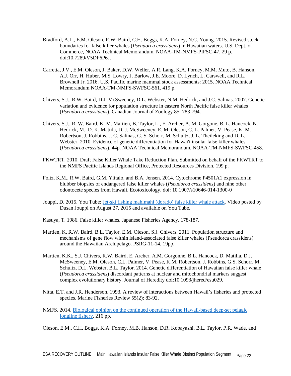- Bradford, A.L., E.M. Oleson, R.W. Baird, C.H. Boggs, K.A. Forney, N.C. Young. 2015. Revised stock boundaries for false killer whales (*Pseudorca crassidens*) in Hawaiian waters. U.S. Dept. of Commerce, NOAA Technical Memorandum, NOAA-TM-NMFS-PIFSC-47, 29 p. doi:10.7289/V5DF6P6J.
- Carretta, J.V., E.M. Oleson, J. Baker, D.W. Weller, A.R. Lang, K.A. Forney, M.M. Muto, B. Hanson, A.J. Orr, H. Huber, M.S. Lowry, J. Barlow, J.E. Moore, D. Lynch, L. Carswell, and R.L. Brownell Jr. 2016. U.S. Pacific marine mammal stock assessments: 2015. NOAA Technical Memorandum NOAA-TM-NMFS-SWFSC-561. 419 p.
- Chivers, S.J., R.W. Baird, D.J. McSweeney, D.L. Webster, N.M. Hedrick, and J.C. Salinas. 2007. Genetic variation and evidence for population structure in eastern North Pacific false killer whales (*Pseudorca crassidens*). Canadian Journal of Zoology 85: 783-794.
- Chivers, S.J., R. W. Baird, K. M. Martien, B. Taylor, L., E. Archer, A. M. Gorgone, B. L. Hancock, N. Hedrick, M., D. K. Mattila, D. J. McSweeney, E. M. Oleson, C. L. Palmer, V. Pease, K. M. Robertson, J. Robbins, J. C. Salinas, G. S. Schorr, M. Schultz, J. L. Theileking and D. L. Webster. 2010. Evidence of genetic differentiation for Hawai'i insular false killer whales (*Pseudorca crassidens*). 44p. NOAA Technical Memorandum, NOAA-TM-NMFS-SWFSC-458.
- FKWTRT. 2010. Draft False Killer Whale Take Reduction Plan. Submitted on behalf of the FKWTRT to the NMFS Pacific Islands Regional Office, Protected Resources Division. 199 p.
- Foltz, K.M., R.W. Baird, G.M. Ylitalo, and B.A. Jensen. 2014. Cytochrome P4501A1 expression in blubber biopsies of endangered false killer whales (*Pseudorca crassidens*) and nine other odontocete species from Hawaii. Ecotoxicology. doi: 10.1007/s10646-014-1300-0
- Jouppi, D. 2015. You Tube: [Jet-ski fishing mahimahi \(dorado\) false killer whale attack.](https://www.youtube.com/watch?v=ugXqqt5n-V4) Video posted by Dusan Jouppi on August 27, 2015 and available on You Tube.
- Kasuya, T. 1986. False killer whales. Japanese Fisheries Agency. 178-187.
- Martien, K, R.W. Baird, B.L. Taylor, E.M. Oleson, S.J. Chivers. 2011. Population structure and mechanisms of gene flow within island-associated false killer whales (Pseudorca crassidens) around the Hawaiian Archipelago. PSRG-11-14, 19pp.
- Martien, K.K., S.J. Chivers, R.W. Baird, E. Archer, A.M. Gorgonne, B.L. Hancock, D. Matilla, D.J. McSweeney, E.M. Oleson, C.L. Palmer, V. Pease, K.M. Robertson, J. Robbins, G.S. Schorr, M. Schultz, D.L. Webster, B.L. Taylor. 2014. Genetic differentiation of Hawaiian false killer whale (*Pseudorca crassidens*) discordant patterns at nuclear and mitochondrial markers suggest complex evolutionary history. Journal of Heredity doi:10.1093/jhered/esu029.
- Nitta, E.T. and J.R. Henderson. 1993. A review of interactions between Hawaii's fisheries and protected species. Marine Fisheries Review 55(2): 83-92.
- NMFS. 2014. [Biological opinion on the continued operation of the Hawaii-based deep-set pelagic](http://www.fpir.noaa.gov/Library/PUBDOCs/biological_opinions/DSLL_Final_BiOp_9-19-2014.pdf)  [longline fishery.](http://www.fpir.noaa.gov/Library/PUBDOCs/biological_opinions/DSLL_Final_BiOp_9-19-2014.pdf) 216 pp.

Oleson, E.M., C.H. Boggs, K.A. Forney, M.B. Hanson, D.R. Kobayashi, B.L. Taylor, P.R. Wade, and